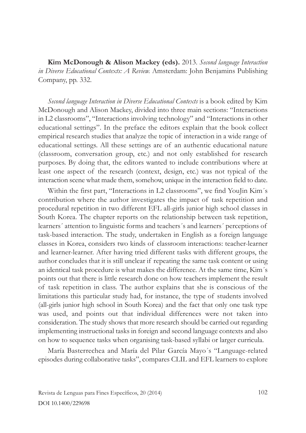**Kim McDonough & Alison Mackey (eds).** 2013. *Second language Interaction in Diverse Educational Contexts: A Review.* Amsterdam: John Benjamins Publishing Company, pp. 332.

*Second language Interaction in Diverse Educational Contexts* is a book edited by Kim McDonough and Alison Mackey, divided into three main sections: "Interactions in L2 classrooms", "Interactions involving technology" and "Interactions in other educational settings". In the preface the editors explain that the book collect empirical research studies that analyze the topic of interaction in a wide range of educational settings. All these settings are of an authentic educational nature (classroom, conversation group, etc.) and not only established for research purposes. By doing that, the editors wanted to include contributions where at least one aspect of the research (context, design, etc.) was not typical of the interaction scene what made them, somehow, unique in the interaction field to date.

Within the first part, "Interactions in L2 classrooms", we find YouJin Kim´s contribution where the author investigates the impact of task repetition and procedural repetition in two different EFL all-girls junior high school classes in South Korea. The chapter reports on the relationship between task repetition, learners´ attention to linguistic forms and teachers´s and learners´ perceptions of task-based interaction. The study, undertaken in English as a foreign language classes in Korea, considers two kinds of classroom interactions: teacher-learner and learner-learner. After having tried different tasks with different groups, the author concludes that it is still unclear if repeating the same task content or using an identical task procedure is what makes the difference. At the same time, Kim´s points out that there is little research done on how teachers implement the result of task repetition in class. The author explains that she is conscious of the limitations this particular study had, for instance, the type of students involved (all-girls junior high school in South Korea) and the fact that only one task type was used, and points out that individual differences were not taken into consideration. The study shows that more research should be carried out regarding implementing instructional tasks in foreign and second language contexts and also on how to sequence tasks when organising task-based syllabi or larger curricula.

María Basterrechea and María del Pilar García Mayo´s "Language-related episodes during collaborative tasks", compares CLIL and EFL learners to explore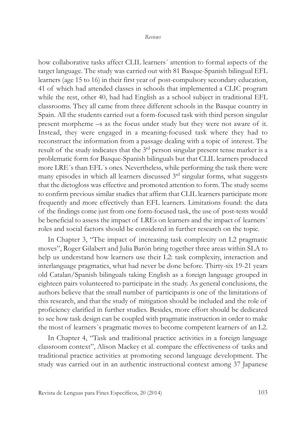how collaborative tasks affect CLIL learners´ attention to formal aspects of the target language. The study was carried out with 81 Basque-Spanish bilingual EFL learners (age 15 to 16) in their first year of post-compulsory secondary education, 41 of which had attended classes in schools that implemented a CLIC program while the rest, other 40, had had English as a school subject in traditional EFL classrooms. They all came from three different schools in the Basque country in Spain. All the students carried out a form-focused task with third person singular present morpheme –s as the focus under study but they were not aware of it. Instead, they were engaged in a meaning-focused task where they had to reconstruct the information from a passage dealing with a topic of interest. The result of the study indicates that the 3rd person singular present tense marker is a problematic form for Basque-Spanish bilinguals but that CLIL learners produced more LRE´s than EFL´s ones. Nevertheless, while performing the task there were many episodes in which all learners discussed  $3<sup>rd</sup>$  singular forms, what suggests that the dictogloss was effective and promoted attention to form. The study seems to confirm previous similar studies that affirm that CLIL learners participate more frequently and more effectively than EFL learners. Limitations found: the data of the findings come just from one form-focused task, the use of post-tests would be beneficial to assess the impact of LREs on learners and the impact of learners´ roles and social factors should be considered in further research on the topic.

In Chapter 3, "The impact of increasing task complexity on L2 pragmatic moves", Roger Gilabert and Julia Barón bring together three areas within SLA to help us understand how learners use their L2: task complexity, interaction and interlanguage pragmatics, what had never be done before. Thirty-six 19-21 years old Catalan/Spanish bilinguals taking English as a foreign language grouped in eighteen pairs volunteered to participate in the study. As general conclusions, the authors believe that the small number of participants is one of the limitations of this research, and that the study of mitigation should be included and the role of proficiency clarified in further studies. Besides, more effort should be dedicated to see how task design can be coupled with pragmatic instruction in order to make the most of learners´s pragmatic moves to become competent learners of an L2.

In Chapter 4, "Task and traditional practice activities in a foreign language classroom context", Alison Mackey et al. compare the effectiveness of tasks and traditional practice activities at promoting second language development. The study was carried out in an authentic instructional context among 37 Japanese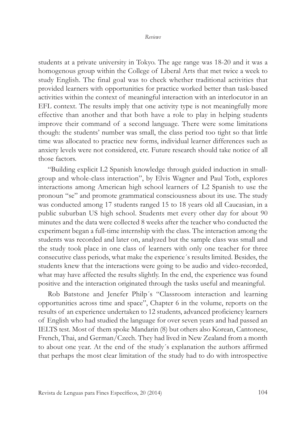students at a private university in Tokyo. The age range was 18-20 and it was a homogenous group within the College of Liberal Arts that met twice a week to study English. The final goal was to check whether traditional activities that provided learners with opportunities for practice worked better than task-based activities within the context of meaningful interaction with an interlocutor in an EFL context. The results imply that one activity type is not meaningfully more effective than another and that both have a role to play in helping students improve their command of a second language. There were some limitations though: the students' number was small, the class period too tight so that little time was allocated to practice new forms, individual learner differences such as anxiety levels were not considered, etc. Future research should take notice of all those factors.

"Building explicit L2 Spanish knowledge through guided induction in smallgroup and whole-class interaction", by Elvis Wagner and Paul Toth, explores interactions among American high school learners of L2 Spanish to use the pronoun "se" and promote grammatical consciousness about its use. The study was conducted among 17 students ranged 15 to 18 years old all Caucasian, in a public suburban US high school. Students met every other day for about 90 minutes and the data were collected 8 weeks after the teacher who conducted the experiment began a full-time internship with the class. The interaction among the students was recorded and later on, analyzed but the sample class was small and the study took place in one class of learners with only one teacher for three consecutive class periods, what make the experience´s results limited. Besides, the students knew that the interactions were going to be audio and video-recorded, what may have affected the results slightly. In the end, the experience was found positive and the interaction originated through the tasks useful and meaningful.

Rob Batstone and Jenefer Philp´s "Classroom interaction and learning opportunities across time and space", Chapter 6 in the volume, reports on the results of an experience undertaken to 12 students, advanced proficiency learners of English who had studied the language for over seven years and had passed an IELTS test. Most of them spoke Mandarin (8) but others also Korean, Cantonese, French, Thai, and German/Czech. They had lived in New Zealand from a month to about one year. At the end of the study´s explanation the authors affirmed that perhaps the most clear limitation of the study had to do with introspective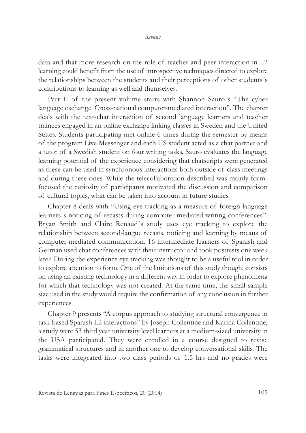data and that more research on the role of teacher and peer interaction in L2 learning could benefit from the use of introspective techniques directed to explore the relationships between the students and their perceptions of other students´s contributions to learning as well and themselves.

Part II of the present volume starts with Shannon Sauro´s "The cyber language exchange. Cross-national computer-mediated interaction". The chapter deals with the text-chat interaction of second language learners and teacher trainees engaged in an online exchange linking classes in Sweden and the United States. Students participating met online 6 times during the semester by means of the program Live Messenger and each US student acted as a chat partner and a tutor of a Swedish student on four writing tasks. Sauro evaluates the language learning potential of the experience considering that chatscripts were generated as these can be used in synchronous interactions both outside of class meetings and during these ones. While the telecollaboration described was mainly formfocused the curiosity of participants motivated the discussion and comparison of cultural topics, what can be taken into account in future studies.

Chapter 8 deals with "Using eye tracking as a measure of foreign language learners´s noticing of recasts during computer-mediated writing conferences". Bryan Smith and Claire Renaud´s study uses eye tracking to explore the relationship between second-langue recasts, noticing and learning by means of computer-mediated communication. 16 intermediate learners of Spanish and German used chat conferences with their instructor and took posttests one week later. During the experience eye tracking was thought to be a useful tool in order to explore attention to form. One of the limitations of this study though, consists on using an existing technology in a different way in order to explore phenomena for which that technology was not created. At the same time, the small sample size used in the study would require the confirmation of any conclusion in further experiences.

Chapter 9 presents "A corpus approach to studying structural convergence in task-based Spanish L2 interactions" by Joseph Collentine and Karina Collentine, a study were 53 third year university level learners at a medium-sized university in the USA participated. They were enrolled in a course designed to revise grammatical structures and in another one to develop conversational skills. The tasks were integrated into two class periods of 1.5 hrs and no grades were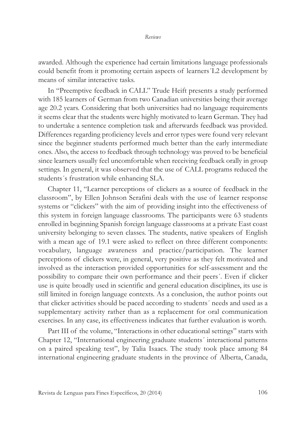awarded. Although the experience had certain limitations language professionals could benefit from it promoting certain aspects of learners´L2 development by means of similar interactive tasks.

In "Preemptive feedback in CALL" Trude Heift presents a study performed with 185 learners of German from two Canadian universities being their average age 20.2 years. Considering that both universities had no language requirements it seems clear that the students were highly motivated to learn German. They had to undertake a sentence completion task and afterwards feedback was provided. Differences regarding proficiency levels and error types were found very relevant since the beginner students performed much better than the early intermediate ones. Also, the access to feedback through technology was proved to be beneficial since learners usually feel uncomfortable when receiving feedback orally in group settings. In general, it was observed that the use of CALL programs reduced the students´s frustration while enhancing SLA.

Chapter 11, "Learner perceptions of clickers as a source of feedback in the classroom", by Ellen Johnson Serafini deals with the use of learner response systems or "clickers" with the aim of providing insight into the effectiveness of this system in foreign language classrooms. The participants were 63 students enrolled in beginning Spanish foreign language classrooms at a private East coast university belonging to seven classes. The students, native speakers of English with a mean age of 19.1 were asked to reflect on three different components: vocabulary, language awareness and practice/participation. The learner perceptions of clickers were, in general, very positive as they felt motivated and involved as the interaction provided opportunities for self-assessment and the possibility to compare their own performance and their peers´. Even if clicker use is quite broadly used in scientific and general education disciplines, its use is still limited in foreign language contexts. As a conclusion, the author points out that clicker activities should be paced according to students´ needs and used as a supplementary activity rather than as a replacement for oral communication exercises. In any case, its effectiveness indicates that further evaluation is worth.

Part III of the volume, "Interactions in other educational settings" starts with Chapter 12, "International engineering graduate students´ interactional patterns on a paired speaking test", by Talia Isaacs. The study took place among 84 international engineering graduate students in the province of Alberta, Canada,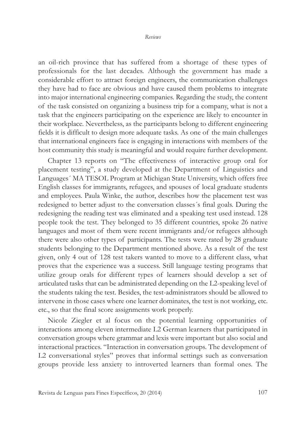an oil-rich province that has suffered from a shortage of these types of professionals for the last decades. Although the government has made a considerable effort to attract foreign engineers, the communication challenges they have had to face are obvious and have caused them problems to integrate into major international engineering companies. Regarding the study, the content of the task consisted on organizing a business trip for a company, what is not a task that the engineers participating on the experience are likely to encounter in their workplace. Nevertheless, as the participants belong to different engineering fields it is difficult to design more adequate tasks. As one of the main challenges that international engineers face is engaging in interactions with members of the host community this study is meaningful and would require further development.

Chapter 13 reports on "The effectiveness of interactive group oral for placement testing", a study developed at the Department of Linguistics and Languages´ MA TESOL Program at Michigan State University, which offers free English classes for immigrants, refugees, and spouses of local graduate students and employees. Paula Winke, the author, describes how the placement test was redesigned to better adjust to the conversation classes´s final goals. During the redesigning the reading test was eliminated and a speaking test used instead. 128 people took the test. They belonged to 35 different countries, spoke 26 native languages and most of them were recent immigrants and/or refugees although there were also other types of participants. The tests were rated by 28 graduate students belonging to the Department mentioned above. As a result of the test given, only 4 out of 128 test takers wanted to move to a different class, what proves that the experience was a success. Still language testing programs that utilize group orals for different types of learners should develop a set of articulated tasks that can be administrated depending on the L2-speaking level of the students taking the test. Besides, the test-administrators should be allowed to intervene in those cases where one learner dominates, the test is not working, etc. etc., so that the final score assignments work properly.

Nicole Ziegler et al focus on the potential learning opportunities of interactions among eleven intermediate L2 German learners that participated in conversation groups where grammar and lexis were important but also social and interactional practices. "Interaction in conversation groups. The development of L2 conversational styles" proves that informal settings such as conversation groups provide less anxiety to introverted learners than formal ones. The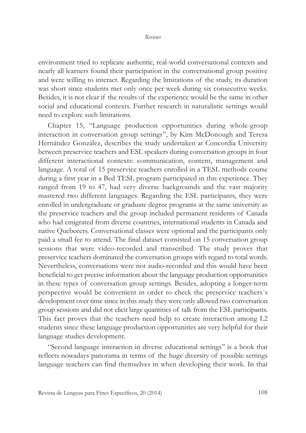environment tried to replicate authentic, real-world conversational contexts and nearly all learners found their participation in the conversational group positive and were willing to interact. Regarding the limitations of the study, its duration was short since students met only once per week during six consecutive weeks. Besides, it is not clear if the results of the experience would be the same in other social and educational contexts. Further research in naturalistic settings would need to explore such limitations.

Chapter 15, "Language production opportunities during whole-group interaction in conversation group settings", by Kim McDonough and Teresa Hernández González, describes the study undertaken at Concordia University between preservice teachers and ESL speakers during conversation groups in four different interactional contexts: communication, content, management and language. A total of 15 preservice teachers enrolled in a TESL methods course during a first year in a Bed TESL program participated in this experience. They ranged from 19 to 47, had very diverse backgrounds and the vast majority mastered two different languages. Regarding the ESL participants, they were enrolled in undergraduate or graduate degree programs at the same university as the preservice teachers and the group included permanent residents of Canada who had emigrated from diverse countries, international students in Canada and native Quebecers. Conversational classes were optional and the participants only paid a small fee to attend. The final dataset consisted on 15 conversation group sessions that were video-recorded and transcribed. The study proves that preservice teachers dominated the conversation groups with regard to total words. Nevertheless, conversations were not audio-recorded and this would have been beneficial to get precise information about the language production opportunities in these types of conversation group settings. Besides, adopting a longer-term perspective would be convenient in order to check the preservice teachers´s development over time since in this study they were only allowed two conversation group sessions and did not elicit large quantities of talk from the ESL participants. This fact proves that the teachers need help to create interaction among L2 students since these language production opportunities are very helpful for their language studies development.

"Second language interaction in diverse educational settings" is a book that reflects nowadays panorama in terms of the huge diversity of possible settings language teachers can find themselves in when developing their work. In that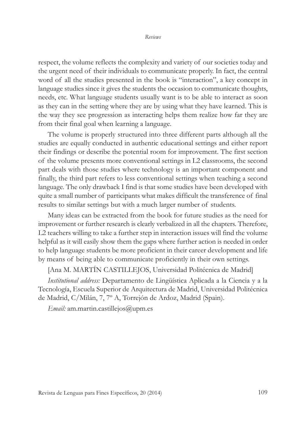respect, the volume reflects the complexity and variety of our societies today and the urgent need of their individuals to communicate properly. In fact, the central word of all the studies presented in the book is "interaction", a key concept in language studies since it gives the students the occasion to communicate thoughts, needs, etc. What language students usually want is to be able to interact as soon as they can in the setting where they are by using what they have learned. This is the way they see progression as interacting helps them realize how far they are from their final goal when learning a language.

The volume is properly structured into three different parts although all the studies are equally conducted in authentic educational settings and either report their findings or describe the potential room for improvement. The first section of the volume presents more conventional settings in L2 classrooms, the second part deals with those studies where technology is an important component and finally, the third part refers to less conventional settings when teaching a second language. The only drawback I find is that some studies have been developed with quite a small number of participants what makes difficult the transference of final results to similar settings but with a much larger number of students.

Many ideas can be extracted from the book for future studies as the need for improvement or further research is clearly verbalized in all the chapters. Therefore, L2 teachers willing to take a further step in interaction issues will find the volume helpful as it will easily show them the gaps where further action is needed in order to help language students be more proficient in their career development and life by means of being able to communicate proficiently in their own settings.

[Ana M. MARTÍN CASTILLEJOS, Universidad Politécnica de Madrid]

*Institutional address:* Departamento de Lingüística Aplicada a la Ciencia y a la Tecnología, Escuela Superior de Arquitectura de Madrid, Universidad Politécnica de Madrid, C/Milán, 7, 7º A, Torrejón de Ardoz, Madrid (Spain).

*Email:* am.martin.castillejos@upm.es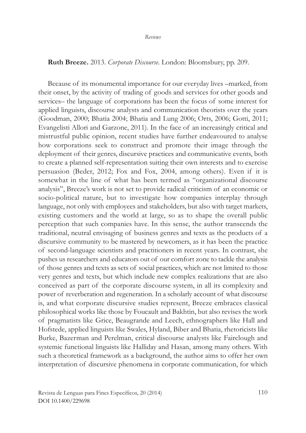## **Ruth Breeze.** 2013. *Corporate Discourse*. London: Bloomsbury, pp. 209.

Because of its monumental importance for our everyday lives –marked, from their onset, by the activity of trading of goods and services for other goods and services– the language of corporations has been the focus of some interest for applied linguists, discourse analysts and communication theorists over the years (Goodman, 2000; Bhatia 2004; Bhatia and Lung 2006; Orts, 2006; Gotti, 2011; Evangelisti Allori and Garzone, 2011). In the face of an increasingly critical and mistrustful public opinion, recent studies have further endeavoured to analyse how corporations seek to construct and promote their image through the deployment of their genres, discursive practices and communicative events, both to create a planned self-representation suiting their own interests and to exercise persuasion (Beder, 2012; Fox and Fox, 2004, among others). Even if it is somewhat in the line of what has been termed as "organizational discourse analysis", Breeze's work is not set to provide radical criticism of an economic or socio-political nature, but to investigate how companies interplay through language, not only with employees and stakeholders, but also with target markets, existing customers and the world at large, so as to shape the overall public perception that such companies have. In this sense, the author transcends the traditional, neutral envisaging of business genres and texts as the products of a discursive community to be mastered by newcomers, as it has been the practice of second-language scientists and practitioners in recent years. In contrast, she pushes us researchers and educators out of our comfort zone to tackle the analysis of those genres and texts as sets of social practices, which are not limited to those very genres and texts, but which include new complex realizations that are also conceived as part of the corporate discourse system, in all its complexity and power of reverberation and regeneration. In a scholarly account of what discourse is, and what corporate discursive studies represent, Breeze embraces classical philosophical works like those by Foucault and Bakhtin, but also revises the work of pragmatists like Grice, Beaugrande and Leech, ethnographers like Hall and Hofstede, applied linguists like Swales, Hyland, Biber and Bhatia, rhetoricists like Burke, Bazerman and Perelman, critical discourse analysts like Fairclough and systemic functional linguists like Halliday and Hasan, among many others. With such a theoretical framework as a background, the author aims to offer her own interpretation of discursive phenomena in corporate communication, for which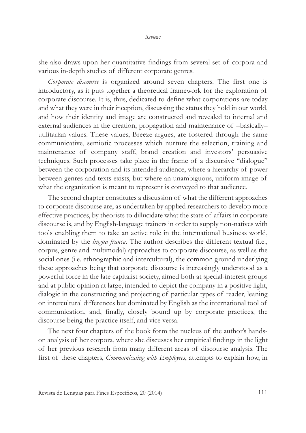she also draws upon her quantitative findings from several set of corpora and various in-depth studies of different corporate genres.

*Corporate discourse* is organized around seven chapters. The first one is introductory, as it puts together a theoretical framework for the exploration of corporate discourse. It is, thus, dedicated to define what corporations are today and what they were in their inception, discussing the status they hold in our world, and how their identity and image are constructed and revealed to internal and external audiences in the creation, propagation and maintenance of –basically– utilitarian values. These values, Breeze argues, are fostered through the same communicative, semiotic processes which nurture the selection, training and maintenance of company staff, brand creation and investors' persuasive techniques. Such processes take place in the frame of a discursive "dialogue" between the corporation and its intended audience, where a hierarchy of power between genres and texts exists, but where an unambiguous, uniform image of what the organization is meant to represent is conveyed to that audience.

The second chapter constitutes a discussion of what the different approaches to corporate discourse are, as undertaken by applied researchers to develop more effective practices, by theorists to dillucidate what the state of affairs in corporate discourse is, and by English-language trainers in order to supply non-natives with tools enabling them to take an active role in the international business world, dominated by the *lingua franca*. The author describes the different textual (i.e., corpus, genre and multimodal) approaches to corporate discourse, as well as the social ones (i.e. ethnographic and intercultural), the common ground underlying these approaches being that corporate discourse is increasingly understood as a powerful force in the late capitalist society, aimed both at special-interest groups and at public opinion at large, intended to depict the company in a positive light, dialogic in the constructing and projecting of particular types of reader, leaning on intercultural differences but dominated by English as the international tool of communication, and, finally, closely bound up by corporate practices, the discourse being the practice itself, and vice versa.

The next four chapters of the book form the nucleus of the author's handson analysis of her corpora, where she discusses her empirical findings in the light of her previous research from many different areas of discourse analysis. The first of these chapters, *Communicating with Employees*, attempts to explain how, in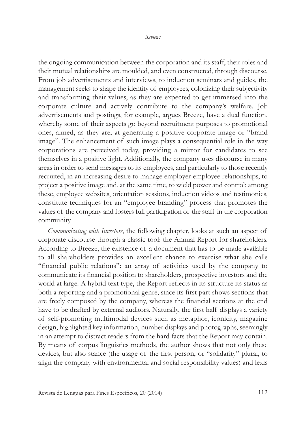the ongoing communication between the corporation and its staff, their roles and their mutual relationships are moulded, and even constructed, through discourse. From job advertisements and interviews, to induction seminars and guides, the management seeks to shape the identity of employees, colonizing their subjectivity and transforming their values, as they are expected to get immersed into the corporate culture and actively contribute to the company's welfare. Job advertisements and postings, for example, argues Breeze, have a dual function, whereby some of their aspects go beyond recruitment purposes to promotional ones, aimed, as they are, at generating a positive corporate image or "brand image". The enhancement of such image plays a consequential role in the way corporations are perceived today, providing a mirror for candidates to see themselves in a positive light. Additionally, the company uses discourse in many areas in order to send messages to its employees, and particularly to those recently recruited, in an increasing desire to manage employer-employee relationships, to project a positive image and, at the same time, to wield power and control; among these, employee websites, orientation sessions, induction videos and testimonies, constitute techniques for an "employee branding" process that promotes the values of the company and fosters full participation of the staff in the corporation community.

*Communicating with Investors*, the following chapter, looks at such an aspect of corporate discourse through a classic tool: the Annual Report for shareholders. According to Breeze, the existence of a document that has to be made available to all shareholders provides an excellent chance to exercise what she calls "financial public relations": an array of activities used by the company to communicate its financial position to shareholders, prospective investors and the world at large. A hybrid text type, the Report reflects in its structure its status as both a reporting and a promotional genre, since its first part shows sections that are freely composed by the company, whereas the financial sections at the end have to be drafted by external auditors. Naturally, the first half displays a variety of self-promoting multimodal devices such as metaphor, iconicity, magazine design, highlighted key information, number displays and photographs, seemingly in an attempt to distract readers from the hard facts that the Report may contain. By means of corpus linguistics methods, the author shows that not only these devices, but also stance (the usage of the first person, or "solidarity" plural, to align the company with environmental and social responsibility values) and lexis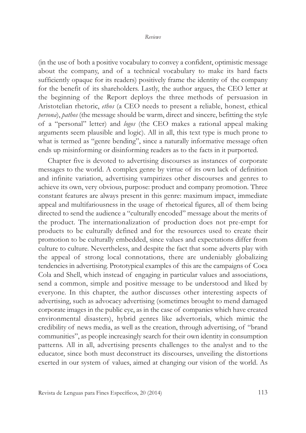(in the use of both a positive vocabulary to convey a confident, optimistic message about the company, and of a technical vocabulary to make its hard facts sufficiently opaque for its readers) positively frame the identity of the company for the benefit of its shareholders. Lastly, the author argues, the CEO letter at the beginning of the Report deploys the three methods of persuasion in Aristotelian rhetoric, *ethos* (a CEO needs to present a reliable, honest, ethical *persona*), *pathos* (the message should be warm, direct and sincere, befitting the style of a "personal" letter) and *logos* (the CEO makes a rational appeal making arguments seem plausible and logic). All in all, this text type is much prone to what is termed as "genre bending", since a naturally informative message often ends up misinforming or disinforming readers as to the facts in it purported.

Chapter five is devoted to advertising discourses as instances of corporate messages to the world. A complex genre by virtue of its own lack of definition and infinite variation, advertising vampirizes other discourses and genres to achieve its own, very obvious, purpose: product and company promotion. Three constant features are always present in this genre: maximum impact, immediate appeal and multifariousness in the usage of rhetorical figures, all of them being directed to send the audience a "culturally encoded" message about the merits of the product. The internationalization of production does not pre-empt for products to be culturally defined and for the resources used to create their promotion to be culturally embedded, since values and expectations differ from culture to culture. Nevertheless, and despite the fact that some adverts play with the appeal of strong local connotations, there are undeniably globalizing tendencies in advertising. Prototypical examples of this are the campaigns of Coca Cola and Shell, which instead of engaging in particular values and associations, send a common, simple and positive message to be understood and liked by everyone. In this chapter, the author discusses other interesting aspects of advertising, such as advocacy advertising (sometimes brought to mend damaged corporate images in the public eye, as in the case of companies which have created environmental disasters), hybrid genres like advertorials, which mimic the credibility of news media, as well as the creation, through advertising, of "brand communities", as people increasingly search for their own identity in consumption patterns. All in all, advertising presents challenges to the analyst and to the educator, since both must deconstruct its discourses, unveiling the distortions exerted in our system of values, aimed at changing our vision of the world. As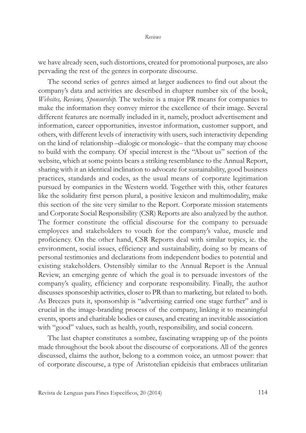we have already seen, such distortions, created for promotional purposes, are also pervading the rest of the genres in corporate discourse.

The second series of genres aimed at larger audiences to find out about the company's data and activities are described in chapter number six of the book, *Websites, Reviews, Sponsorship.* The website is a major PR means for companies to make the information they convey mirror the excellence of their image. Several different features are normally included in it, namely, product advertisement and information, career opportunities, investor information, customer support, and others, with different levels of interactivity with users, such interactivity depending on the kind of relationship –dialogic or monologic– that the company may choose to build with the company. Of special interest is the "About us" section of the website, which at some points bears a striking resemblance to the Annual Report, sharing with it an identical inclination to advocate for sustainability, good business practices, standards and codes, as the usual means of corporate legitimation pursued by companies in the Western world. Together with this, other features like the solidarity first person plural, a positive lexicon and multimodality, make this section of the site very similar to the Report. Corporate mission statements and Corporate Social Responsibility (CSR) Reports are also analyzed by the author. The former constitute the official discourse for the company to persuade employees and stakeholders to vouch for the company's value, muscle and proficiency. On the other hand, CSR Reports deal with similar topics, ie. the environment, social issues, efficiency and sustainability, doing so by means of personal testimonies and declarations from independent bodies to potential and existing stakeholders. Ostensibly similar to the Annual Report is the Annual Review, an emerging genre of which the goal is to persuade investors of the company's quality, efficiency and corporate responsibility. Finally, the author discusses sponsorship activities, closer to PR than to marketing, but related to both. As Breezes puts it, sponsorship is "advertising carried one stage further" and is crucial in the image-branding process of the company, linking it to meaningful events, sports and charitable bodies or causes, and creating an inevitable association with "good" values, such as health, youth, responsibility, and social concern.

The last chapter constitutes a sombre, fascinating wrapping up of the points made throughout the book about the discourse of corporations. All of the genres discussed, claims the author, belong to a common voice, an utmost power: that of corporate discourse, a type of Aristotelian epideixis that embraces utilitarian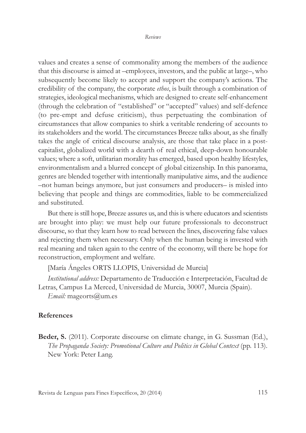values and creates a sense of commonality among the members of the audience that this discourse is aimed at –employees, investors, and the public at large–, who subsequently become likely to accept and support the company's actions. The credibility of the company, the corporate *ethos*, is built through a combination of strategies, ideological mechanisms, which are designed to create self-enhancement (through the celebration of "established" or "accepted" values) and self-defence (to pre-empt and defuse criticism), thus perpetuating the combination of circumstances that allow companies to shirk a veritable rendering of accounts to its stakeholders and the world. The circumstances Breeze talks about, as she finally takes the angle of critical discourse analysis, are those that take place in a postcapitalist, globalized world with a dearth of real ethical, deep-down honourable values; where a soft, utilitarian morality has emerged, based upon healthy lifestyles, environmentalism and a blurred concept of global citizenship. In this panorama, genres are blended together with intentionally manipulative aims, and the audience –not human beings anymore, but just consumers and producers– is misled into believing that people and things are commodities, liable to be commercialized and substituted.

But there is still hope, Breeze assures us, and this is where educators and scientists are brought into play: we must help our future professionals to deconstruct discourse, so that they learn how to read between the lines, discovering false values and rejecting them when necessary. Only when the human being is invested with real meaning and taken again to the centre of the economy, will there be hope for reconstruction, employment and welfare.

[María Ángeles ORTS LLOPIS, Universidad de Murcia]

*Institutional address:* Departamento de Traducción e Interpretación, Facultad de Letras, Campus La Merced, Universidad de Murcia, 30007, Murcia (Spain). *Email:* mageorts@um.es

## **References**

**Beder, S.** (2011). Corporate discourse on climate change, in G. Sussman (Ed.), *The Propaganda Society: Promotional Culture and Politics in Global Context* (pp. 113). New York: Peter Lang.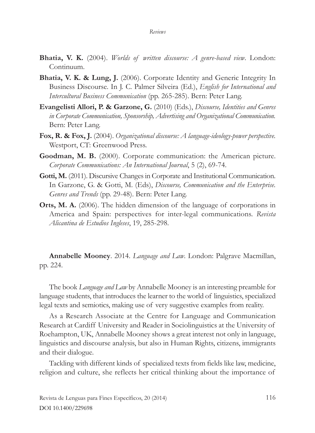- **Bhatia, V. K.** (2004). *Worlds of written discourse: A genre-based view*. London: Continuum.
- **Bhatia, V. K. & Lung, J.** (2006). Corporate Identity and Generic Integrity In Business Discourse. In J. C. Palmer Silveira (Ed.), *English for International and Intercultural Business Communication* (pp. 265-285). Bern: Peter Lang.
- **Evangelisti Allori, P. & Garzone, G.** (2010) (Eds.), *Discourse, Identities and Genres in Corporate Communication, Sponsorship, Advertising and Organizational Communication.* Bern: Peter Lang.
- **Fox, R. & Fox, J.** (2004). *Organizational discourse: A language-ideology-power perspective.* Westport, CT: Greenwood Press.
- **Goodman, M. B.** (2000). Corporate communication: the American picture. *Corporate Communications: An International Journal*, 5 (2), 69-74.
- Gotti, M. (2011). Discursive Changes in Corporate and Institutional Communication. In Garzone, G. & Gotti, M. (Eds), *Discourse, Communication and the Enterprise. Genres and Trends* (pp. 29-48). Bern: Peter Lang.
- **Orts, M. A.** (2006). The hidden dimension of the language of corporations in America and Spain: perspectives for inter-legal communications. *Revista Alicantina de Estudios Ingleses*, 19, 285-298.

**Annabelle Mooney**. 2014. *Language and Law*. London: Palgrave Macmillan, pp. 224.

The book *Language and Law* by Annabelle Mooney is an interesting preamble for language students, that introduces the learner to the world of linguistics, specialized legal texts and semiotics, making use of very suggestive examples from reality.

As a Research Associate at the Centre for Language and Communication Research at Cardiff University and Reader in Sociolinguistics at the University of Roehampton, UK, Annabelle Mooney shows a great interest not only in language, linguistics and discourse analysis, but also in Human Rights, citizens, immigrants and their dialogue.

Tackling with different kinds of specialized texts from fields like law, medicine, religion and culture, she reflects her critical thinking about the importance of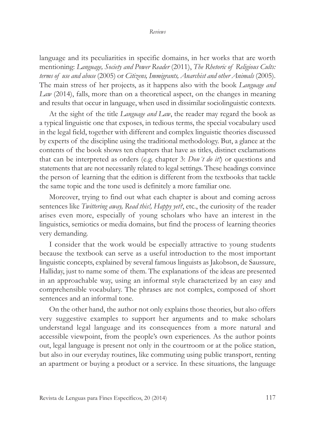language and its peculiarities in specific domains, in her works that are worth mentioning: *Language, Society and Power Reader* (2011), *The Rhetoric of Religious Cults: terms of use and abuse* (2005) or *Citizens, Immigrants, Anarchist and other Animals* (2005). The main stress of her projects, as it happens also with the book *Language and Law* (2014), falls, more than on a theoretical aspect, on the changes in meaning and results that occur in language, when used in dissimilar sociolinguistic contexts.

At the sight of the title *Language and Law*, the reader may regard the book as a typical linguistic one that exposes, in tedious terms, the special vocabulary used in the legal field, together with different and complex linguistic theories discussed by experts of the discipline using the traditional methodology. But, a glance at the contents of the book shows ten chapters that have as titles, distinct exclamations that can be interpreted as orders (e.g. chapter 3: *Don´t do it!*) or questions and statements that are not necessarily related to legal settings. These headings convince the person of learning that the edition is different from the textbooks that tackle the same topic and the tone used is definitely a more familiar one.

Moreover, trying to find out what each chapter is about and coming across sentences like *Twittering away, Read this!, Happy yet?*, etc., the curiosity of the reader arises even more, especially of young scholars who have an interest in the linguistics, semiotics or media domains, but find the process of learning theories very demanding.

I consider that the work would be especially attractive to young students because the textbook can serve as a useful introduction to the most important linguistic concepts, explained by several famous linguists as Jakobson, de Saussure, Halliday, just to name some of them. The explanations of the ideas are presented in an approachable way, using an informal style characterized by an easy and comprehensible vocabulary. The phrases are not complex, composed of short sentences and an informal tone.

On the other hand, the author not only explains those theories, but also offers very suggestive examples to support her arguments and to make scholars understand legal language and its consequences from a more natural and accessible viewpoint, from the people's own experiences. As the author points out, legal language is present not only in the courtroom or at the police station, but also in our everyday routines, like commuting using public transport, renting an apartment or buying a product or a service. In these situations, the language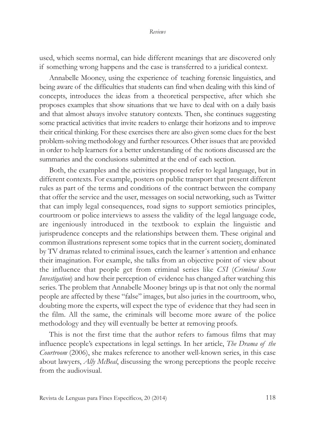used, which seems normal, can hide different meanings that are discovered only if something wrong happens and the case is transferred to a juridical context.

Annabelle Mooney, using the experience of teaching forensic linguistics, and being aware of the difficulties that students can find when dealing with this kind of concepts, introduces the ideas from a theoretical perspective, after which she proposes examples that show situations that we have to deal with on a daily basis and that almost always involve statutory contexts. Then, she continues suggesting some practical activities that invite readers to enlarge their horizons and to improve their critical thinking. For these exercises there are also given some clues for the best problem-solving methodology and further resources. Other issues that are provided in order to help learners for a better understanding of the notions discussed are the summaries and the conclusions submitted at the end of each section.

Both, the examples and the activities proposed refer to legal language, but in different contexts. For example, posters on public transport that present different rules as part of the terms and conditions of the contract between the company that offer the service and the user, messages on social networking, such as Twitter that can imply legal consequences, road signs to support semiotics principles, courtroom or police interviews to assess the validity of the legal language code, are ingeniously introduced in the textbook to explain the linguistic and jurisprudence concepts and the relationships between them. These original and common illustrations represent some topics that in the current society, dominated by TV dramas related to criminal issues, catch the learner´s attention and enhance their imagination. For example, she talks from an objective point of view about the influence that people get from criminal series like *CSI* (*Criminal Scene Investigation*) and how their perception of evidence has changed after watching this series. The problem that Annabelle Mooney brings up is that not only the normal people are affected by these "false" images, but also juries in the courtroom, who, doubting more the experts, will expect the type of evidence that they had seen in the film. All the same, the criminals will become more aware of the police methodology and they will eventually be better at removing proofs.

This is not the first time that the author refers to famous films that may influence people's expectations in legal settings. In her article, *The Drama of the Courtroom* (2006), she makes reference to another well-known series, in this case about lawyers, *Ally McBeal*, discussing the wrong perceptions the people receive from the audiovisual.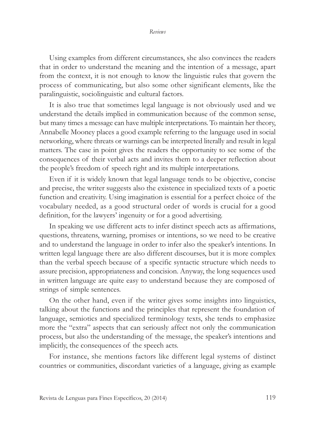Using examples from different circumstances, she also convinces the readers that in order to understand the meaning and the intention of a message, apart from the context, it is not enough to know the linguistic rules that govern the process of communicating, but also some other significant elements, like the paralinguistic, sociolinguistic and cultural factors.

It is also true that sometimes legal language is not obviously used and we understand the details implied in communication because of the common sense, but many times a message can have multiple interpretations. To maintain her theory, Annabelle Mooney places a good example referring to the language used in social networking, where threats or warnings can be interpreted literally and result in legal matters. The case in point gives the readers the opportunity to see some of the consequences of their verbal acts and invites them to a deeper reflection about the people's freedom of speech right and its multiple interpretations.

Even if it is widely known that legal language tends to be objective, concise and precise, the writer suggests also the existence in specialized texts of a poetic function and creativity. Using imagination is essential for a perfect choice of the vocabulary needed, as a good structural order of words is crucial for a good definition, for the lawyers' ingenuity or for a good advertising.

In speaking we use different acts to infer distinct speech acts as affirmations, questions, threatens, warning, promises or intentions, so we need to be creative and to understand the language in order to infer also the speaker's intentions. In written legal language there are also different discourses, but it is more complex than the verbal speech because of a specific syntactic structure which needs to assure precision, appropriateness and concision. Anyway, the long sequences used in written language are quite easy to understand because they are composed of strings of simple sentences.

On the other hand, even if the writer gives some insights into linguistics, talking about the functions and the principles that represent the foundation of language, semiotics and specialized terminology texts, she tends to emphasize more the "extra" aspects that can seriously affect not only the communication process, but also the understanding of the message, the speaker's intentions and implicitly, the consequences of the speech acts.

For instance, she mentions factors like different legal systems of distinct countries or communities, discordant varieties of a language, giving as example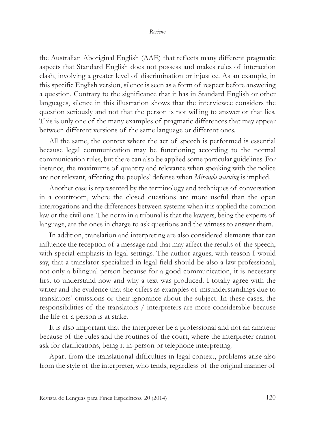## *Reviews*

the Australian Aboriginal English (AAE) that reflects many different pragmatic aspects that Standard English does not possess and makes rules of interaction clash, involving a greater level of discrimination or injustice. As an example, in this specific English version, silence is seen as a form of respect before answering a question. Contrary to the significance that it has in Standard English or other languages, silence in this illustration shows that the interviewee considers the question seriously and not that the person is not willing to answer or that lies. This is only one of the many examples of pragmatic differences that may appear between different versions of the same language or different ones.

All the same, the context where the act of speech is performed is essential because legal communication may be functioning according to the normal communication rules, but there can also be applied some particular guidelines. For instance, the maximums of quantity and relevance when speaking with the police are not relevant, affecting the peoples' defense when *Miranda warning* is implied.

Another case is represented by the terminology and techniques of conversation in a courtroom, where the closed questions are more useful than the open interrogations and the differences between systems when it is applied the common law or the civil one. The norm in a tribunal is that the lawyers, being the experts of language, are the ones in charge to ask questions and the witness to answer them.

In addition, translation and interpreting are also considered elements that can influence the reception of a message and that may affect the results of the speech, with special emphasis in legal settings. The author argues, with reason I would say, that a translator specialized in legal field should be also a law professional, not only a bilingual person because for a good communication, it is necessary first to understand how and why a text was produced. I totally agree with the writer and the evidence that she offers as examples of misunderstandings due to translators' omissions or their ignorance about the subject. In these cases, the responsibilities of the translators / interpreters are more considerable because the life of a person is at stake.

It is also important that the interpreter be a professional and not an amateur because of the rules and the routines of the court, where the interpreter cannot ask for clarifications, being it in-person or telephone interpreting.

Apart from the translational difficulties in legal context, problems arise also from the style of the interpreter, who tends, regardless of the original manner of